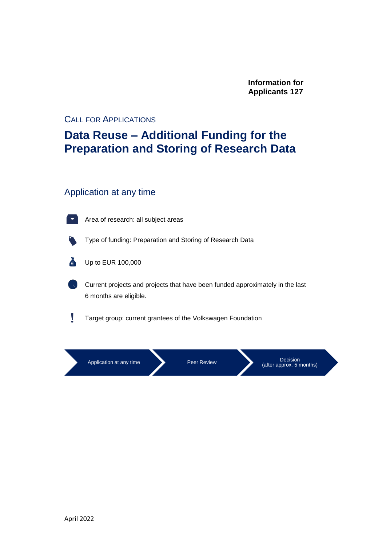**Information for Applicants 127**

### CALL FOR APPLICATIONS

### **Data Reuse – Additional Funding for the Preparation and Storing of Research Data**

### Application at any time

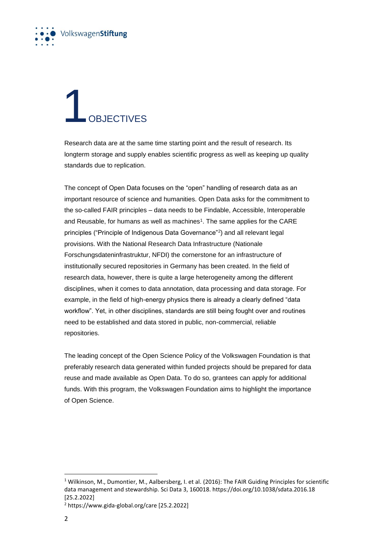

### **OBJECTIVES**

Research data are at the same time starting point and the result of research. Its longterm storage and supply enables scientific progress as well as keeping up quality standards due to replication.

The concept of Open Data focuses on the "open" handling of research data as an important resource of science and humanities. Open Data asks for the commitment to the so-called FAIR principles – data needs to be Findable, Accessible, Interoperable and Reusable, for humans as well as machines<sup>1</sup>. The same applies for the CARE principles ("Principle of Indigenous Data Governance"<sup>2</sup> ) and all relevant legal provisions. With the National Research Data Infrastructure (Nationale Forschungsdateninfrastruktur, NFDI) the cornerstone for an infrastructure of institutionally secured repositories in Germany has been created. In the field of research data, however, there is quite a large heterogeneity among the different disciplines, when it comes to data annotation, data processing and data storage. For example, in the field of high-energy physics there is already a clearly defined "data workflow". Yet, in other disciplines, standards are still being fought over and routines need to be established and data stored in public, non-commercial, reliable repositories.

The leading concept of the Open Science Policy of the Volkswagen Foundation is that preferably research data generated within funded projects should be prepared for data reuse and made available as Open Data. To do so, grantees can apply for additional funds. With this program, the Volkswagen Foundation aims to highlight the importance of Open Science.

 $\overline{a}$ 

<sup>&</sup>lt;sup>1</sup> Wilkinson, M., Dumontier, M., Aalbersberg, I. et al. (2016): The FAIR Guiding Principles for scientific data management and stewardship. Sci Data 3, 160018. https://doi.org/10.1038/sdata.2016.18 [25.2.2022]

<sup>2</sup> https://www.gida-global.org/care [25.2.2022]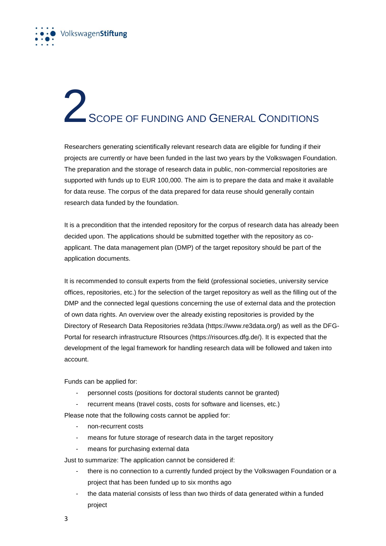

## 2<br>SCOPE OF FUNDING AND GENERAL CONDITIONS

Researchers generating scientifically relevant research data are eligible for funding if their projects are currently or have been funded in the last two years by the Volkswagen Foundation. The preparation and the storage of research data in public, non-commercial repositories are supported with funds up to EUR 100,000. The aim is to prepare the data and make it available for data reuse. The corpus of the data prepared for data reuse should generally contain research data funded by the foundation.

It is a precondition that the intended repository for the corpus of research data has already been decided upon. The applications should be submitted together with the repository as coapplicant. The data management plan (DMP) of the target repository should be part of the application documents.

It is recommended to consult experts from the field (professional societies, university service offices, repositories, etc.) for the selection of the target repository as well as the filling out of the DMP and the connected legal questions concerning the use of external data and the protection of own data rights. An overview over the already existing repositories is provided by the Directory of Research Data Repositories re3data (https://www.re3data.org/) as well as the DFG-Portal for research infrastructure RIsources (https://risources.dfg.de/). It is expected that the development of the legal framework for handling research data will be followed and taken into account.

Funds can be applied for:

- personnel costs (positions for doctoral students cannot be granted)
- recurrent means (travel costs, costs for software and licenses, etc.)

Please note that the following costs cannot be applied for:

- non-recurrent costs
- means for future storage of research data in the target repository
- means for purchasing external data

Just to summarize: The application cannot be considered if:

- there is no connection to a currently funded project by the Volkswagen Foundation or a project that has been funded up to six months ago
- the data material consists of less than two thirds of data generated within a funded project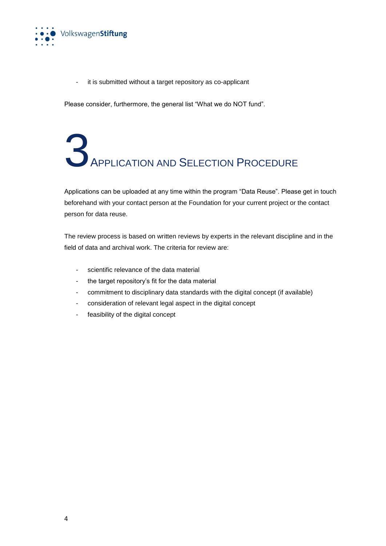

- it is submitted without a target repository as co-applicant

Please consider, furthermore, the general list "What we do NOT fund".

## **3**<br>APPLICATION AND SELECTION PROCEDURE

Applications can be uploaded at any time within the program "Data Reuse". Please get in touch beforehand with your contact person at the Foundation for your current project or the contact person for data reuse.

The review process is based on written reviews by experts in the relevant discipline and in the field of data and archival work. The criteria for review are:

- scientific relevance of the data material
- the target repository's fit for the data material
- commitment to disciplinary data standards with the digital concept (if available)
- consideration of relevant legal aspect in the digital concept
- feasibility of the digital concept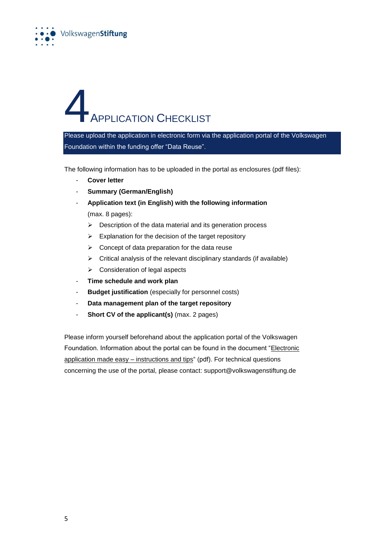

### 4<sup>A</sup>PPLICATION CHECKLIST

Please upload the application in electronic form via the application portal of the Volkswagen Foundation within the funding offer "Data Reuse".

The following information has to be uploaded in the portal as enclosures (pdf files):

- **Cover letter**
- **Summary (German/English)**
- **Application text (in English) with the following information** (max. 8 pages):
	- $\triangleright$  Description of the data material and its generation process
	- $\triangleright$  Explanation for the decision of the target repository
	- $\triangleright$  Concept of data preparation for the data reuse
	- $\triangleright$  Critical analysis of the relevant disciplinary standards (if available)
	- $\triangleright$  Consideration of legal aspects
- **Time schedule and work plan**
- **Budget justification** (especially for personnel costs)
- **Data management plan of the target repository**
- **Short CV of the applicant(s)** (max. 2 pages)

Please inform yourself beforehand about the application portal of the Volkswagen Foundation. Information about the portal can be found in the document ["Electronic](https://portal.volkswagenstiftung.de/vwsantrag/tipps.do?siteLanguage=en)  [application made easy –](https://portal.volkswagenstiftung.de/vwsantrag/tipps.do?siteLanguage=en) instructions and tips" (pdf). For technical questions concerning the use of the portal, please contact: support@volkswagenstiftung.de